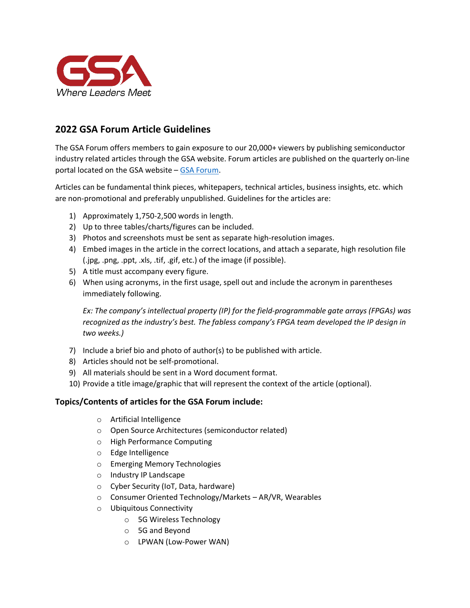

# **2022 GSA Forum Article Guidelines**

The GSA Forum offers members to gain exposure to our 20,000+ viewers by publishing semiconductor industry related articles through the GSA website. Forum articles are published on the quarterly on-line portal located on the GSA website – [GSA Forum.](https://www.gsaglobal.org/forum/)

Articles can be fundamental think pieces, whitepapers, technical articles, business insights, etc. which are non-promotional and preferably unpublished. Guidelines for the articles are:

- 1) Approximately 1,750-2,500 words in length.
- 2) Up to three tables/charts/figures can be included.
- 3) Photos and screenshots must be sent as separate high-resolution images.
- 4) Embed images in the article in the correct locations, and attach a separate, high resolution file (.jpg, .png, .ppt, .xls, .tif, .gif, etc.) of the image (if possible).
- 5) A title must accompany every figure.
- 6) When using acronyms, in the first usage, spell out and include the acronym in parentheses immediately following.

*Ex: The company's intellectual property (IP) for the field-programmable gate arrays (FPGAs) was recognized as the industry's best. The fabless company's FPGA team developed the IP design in two weeks.)*

- 7) Include a brief bio and photo of author(s) to be published with article.
- 8) Articles should not be self-promotional.
- 9) All materials should be sent in a Word document format.
- 10) Provide a title image/graphic that will represent the context of the article (optional).

## **Topics/Contents of articles for the GSA Forum include:**

- o Artificial Intelligence
- o Open Source Architectures (semiconductor related)
- o High Performance Computing
- o Edge Intelligence
- o Emerging Memory Technologies
- o Industry IP Landscape
- o Cyber Security (IoT, Data, hardware)
- o Consumer Oriented Technology/Markets AR/VR, Wearables
- o Ubiquitous Connectivity
	- o 5G Wireless Technology
	- o 5G and Beyond
	- o LPWAN (Low-Power WAN)